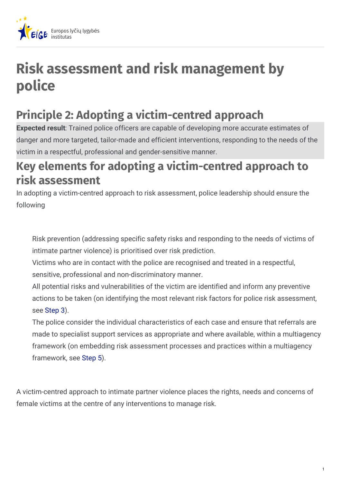

## **Risk assessment and risk management by police**

## **Principle 2: Adopting a victim-centred approach**

**Expected result**: Trained police officers are capable of developing more accurate estimates of danger and more targeted, tailor-made and efficient interventions, responding to the needs of the victim in a respectful, professional and gender-sensitive manner.

## **Key elements for adopting a victim-centred approach to risk assessment**

In adopting a victim-centred approach to risk assessment, police leadership should ensure the following

Risk prevention (addressing specific safety risks and responding to the needs of victims of intimate partner violence) is prioritised over risk prediction.

Victims who are in contact with the police are recognised and treated in a respectful, sensitive, professional and non-discriminatory manner.

All potential risks and vulnerabilities of the victim are identified and inform any preventive actions to be taken (on identifying the most relevant risk factors for police risk assessment, see [Step](https://eige.europa.eu/lt/step-3-identify-most-relevant-risk-factors-police-risk-assessment?lang=fr) 3).

The police consider the individual characteristics of each case and ensure that referrals are made to specialist support services as appropriate and where available, within a multiagency framework (on embedding risk assessment processes and practices within a multiagency framework, see [Step](https://eige.europa.eu/lt/step-5-embed-police-risk-assessment-multiagency-framework?lang=fr) 5).

A victim-centred approach to intimate partner violence places the rights, needs and concerns of female victims at the centre of any interventions to manage risk.